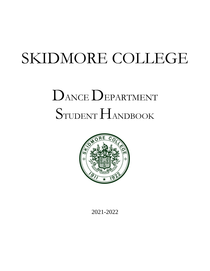# SKIDMORE COLLEGE

# DANCE DEPARTMENT STUDENT HANDBOOK



2021-2022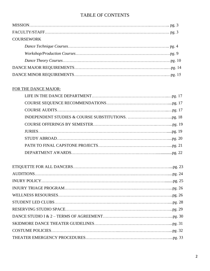# TABLE OF CONTENTS

| <b>COURSEWORK</b> |
|-------------------|
|                   |
|                   |
|                   |
|                   |
|                   |
|                   |

# FOR THE DANCE MAJOR: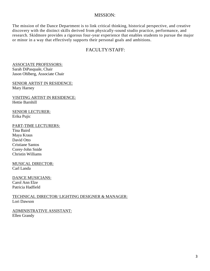# MISSION:

The mission of the Dance Department is to link critical thinking, historical perspective, and creative discovery with the distinct skills derived from physically-sound studio practice, performance, and research. Skidmore provides a rigorous four-year experience that enables students to pursue the major or minor in a way that effectively supports their personal goals and ambitions.

# FACULTY/STAFF:

ASSOCIATE PROFESSORS: Sarah DiPasquale, Chair Jason Ohlberg, Associate Chair

SENIOR ARTIST IN RESIDENCE: Mary Harney

VISITING ARTIST IN RESIDENCE: Hettie Barnhill

SENIOR LECTURER: Erika Pujic

PART-TIME LECTURERS: Tina Baird Maya Kraus

David Otto Cristiane Santos Corey-John Snide Christin Williams

MUSICAL DIRECTOR: Carl Landa

DANCE MUSICIANS: Carol Ann Elze Patricia Hadfield

TECHNICAL DIRECTOR/ LIGHTING DESIGNER & MANAGER: Lori Dawson

ADMINISTRATIVE ASSISTANT: Ellen Grandy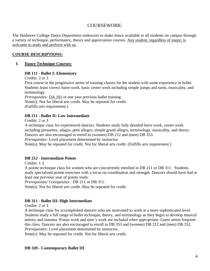# COURSEWORK:

The Skidmore College Dance Department endeavors to make dance available to all students on campus through a variety of technique, performance, theory and appreciation courses. Any student, regardless of major, is welcome to study and perform with us.

# **COURSE DESCRIPTIONS:**

#### **I. Dance Technique Courses:**

#### **DB 111 - Ballet I: Elementary**

Credits: 2 or 3

First course in the progressive series of training classes for the student with some experience in ballet. Students learn correct barre work, basic center work including simple jumps and turns, musicality, and terminology.

*Prerequisites:* DA [101](http://catalog.skidmore.edu/preview_course_nopop.php?catoid=15&coid=28815) or one year previous ballet training. Note(s): Not for liberal arts credit. May be repeated for credit. (Fulfills arts requirement.)

#### **DB 211 - Ballet II: Low Intermediate**

Credits: 2 or 3

A technique class for experienced dancers. Students study fully detailed barre work, center work including pirouettes, adagio, petit allegro, simple grand allegro, terminology, musicality, and theory. Dancers are also encouraged to enroll in (women) DB 212 and (men) DB 353.

*Prerequisites:* Level placement determined by instructor.

Note(s): May be repeated for credit. Not for liberal arts credit. (Fulfills arts requirement.)

# **DB 212 - Intermediate Pointe**

Credits: 1-2

A pointe technique class for women who are concurrently enrolled in DB 211 or DB 311. Students study specialized pointe exercises with a focus on coordination and strength. Dancers should have had at least one previous year of pointe study.

*Prerequisites/ Corequisites* : DB 211 or DB 311.

Note(s): Not for liberal arts credit. May be repeated for credit.

# **DB 311 - Ballet III: High Intermediate**

Credits: 2 or 3

A technique class for accomplished dancers who are motivated to work at a more sophisticated level. Students study a full range of ballet technique, theory, and terminology as they begin to develop musical artistry and stamina. Pointe work and men's work are included *when appropriate*. Guest artists frequent this class. Dancers are also encouraged to enroll in DB 353 and (women) DB 212 and (men) DB 352. *Prerequisites:* Level placement determined by instructor.

 $Note(s)$ : May be repeated for credit. Not for liberal arts credit.

#### **DB 320 - Contemporary Ballet III**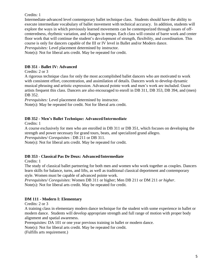# Credits: 1

Intermediate-advanced level contemporary ballet technique class. Students should have the ability to execute intermediate vocabulary of ballet movement with technical accuracy. In addition, students will explore the ways in which previously learned movements can be contemporized through issues of offcenteredness, rhythmic variation, and changes in tempo. Each class will consist of barre work and center floor work that will continue the student's development of strength, flexibility, and coordination. This course is only for dancers capable of the III or IV level in Ballet and/or Modern dance.

*Prerequisites:* Level placement determined by instructor.

Note(s): Not for liberal arts credit. May be repeated for credit.

# **DB 351 - Ballet IV: Advanced**

# Credits: 2 or 3

A rigorous technique class for only the most accomplished ballet dancers who are motivated to work with consistent effort, concentration, and assimilation of details. Dancers work to develop dynamic musical phrasing and artistic expression. Advanced pointe work and men's work are included. Guest artists frequent this class. Dancers are also encouraged to enroll in DB 311, DB 353, DB 394, and (men) DB 352.

*Prerequisites:* Level placement determined by instructor.

Note(s): May be repeated for credit. Not for liberal arts credit.

# **DB 352 - Men's Ballet Technique: Advanced/Intermediate**

Credits: 1

A course exclusively for men who are enrolled in DB 311 or DB 351, which focuses on developing the strength and power necessary for grand tours, beats, and specialized grand allegro.

*Prerequisites/ Corequisites* : DB 211 or DB 311.

Note(s): Not for liberal arts credit. May be repeated for credit.

# **DB 353 - Classical Pas De Deux: Advanced/Intermediate**

Credits: 1

The study of classical ballet partnering for both men and women who work together as couples. Dancers learn skills for balance, turns, and lifts, as well as traditional classical deportment and contemporary style. Women must be capable of advanced pointe work.

*Prerequisites/ Corequisites*: Women DB 311 or higher; Men DB 211 or DM 211 *or higher*.

Note(s): Not for liberal arts credit. May be repeated for credit.

# **DM 111 - Modern I: Elementary**

Credits: 2 or 3

A training class in elementary modern dance technique for the student with some experience in ballet or modern dance. Students will develop appropriate strength and full range of motion with proper body alignment and spatial awareness.

Prerequisites: DA 101 or one year previous training in ballet or modern dance.

Note(s): Not for liberal arts credit. May be repeated for credit.

(Fulfills arts requirement.)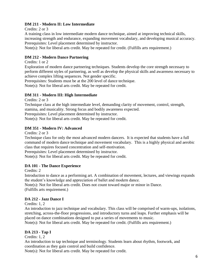# **DM 211 - Modern II: Low Intermediate**

Credits: 2 or 3

A training class in low intermediate modern dance technique, aimed at improving technical skills, increasing strength and endurance, expanding movement vocabulary, and developing musical accuracy. Prerequisites: Level placement determined by instructor.

Note(s): Not for liberal arts credit. May be repeated for credit. (Fulfills arts requirement.)

# **DM 212 - Modern Dance Partnering**

Credits: 1 or 2

Exploration of modern dance partnering techniques. Students develop the core strength necessary to perform different styles of partnering, as well as develop the physical skills and awareness necessary to achieve complex lifting sequences. Not gender specific.

Prerequisites: Students must be at the 200 level of dance technique.

Note(s): Not for liberal arts credit. May be repeated for credit.

# **DM 311 - Modern III: High Intermediate**

Credits: 2 or 3

Technique class at the high intermediate level, demanding clarity of movement, control, strength, stamina, and musicality. Strong focus and bodily awareness expected.

Prerequisites: Level placement determined by instructor.

Note(s): Not for liberal arts credit. May be repeated for credit.

# **DM 351 - Modern IV: Advanced**

Credits: 2 or 3

Technique class for only the most advanced modern dancers. It is expected that students have a full command of modern dance technique and movement vocabulary. This is a highly physical and aerobic class that requires focused concentration and self-motivation.

Prerequisites: Level placement determined by instructor.

Note(s): Not for liberal arts credit. May be repeated for credit.

# **DA 101 - The Dance Experience**

Credits: 2

Introduction to dance as a performing art. A combination of movement, lectures, and viewings expands the student's knowledge and appreciation of ballet and modern dance.

Note(s): Not for liberal arts credit. Does not count toward major or minor in Dance. (Fulfills arts requirement.)

# **DA 212 - Jazz Dance I**

Credits: 1, 2

An introduction to jazz technique and vocabulary. This class will be comprised of warm-ups, isolations, stretching, across-the-floor progressions, and introductory turns and leaps. Further emphasis will be placed on dance combinations designed to put a series of movements to music.

Note(s): Not for liberal arts credit. May be repeated for credit. (Fulfills arts requirement.)

# **DA 213 - Tap I**

Credits: 1, 2

An introduction to tap technique and terminology. Students learn about rhythm, footwork, and coordination as they gain control and build confidence.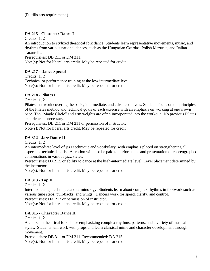# **DA 215 - Character Dance I**

Credits: 1, 2

An introduction to stylized theatrical folk dance. Students learn representative movements, music, and rhythms from various national dances, such as the Hungarian Czardas, Polish Mazurka, and Italian Tarantella.

Prerequisites: DB 211 or DM 211.

Note(s): Not for liberal arts credit. May be repeated for credit.

# **DA 217 - Dance Special**

Credits: 1, 2 Technical or performance training at the low intermediate level. Note(s): Not for liberal arts credit. May be repeated for credit.

# **DA 218 - Pilates I**

Credits: 1, 2

Pilates mat work covering the basic, intermediate, and advanced levels. Students focus on the principles of the Pilates method and technical goals of each exercise with an emphasis on working at one's own pace. The "Magic Circle" and arm weights are often incorporated into the workout. No previous Pilates experience is necessary.

Prerequisites: DB 211 or DM 211 or permission of instructor.

Note(s): Not for liberal arts credit. May be repeated for credit.

# **DA 312 - Jazz Dance II**

Credits: 1, 2

An intermediate level of jazz technique and vocabulary, with emphasis placed on strengthening all aspects of technical skills. Attention will also be paid to performance and presentation of choreographed combinations in various jazz styles.

Prerequisites: DA212, or ability to dance at the high-intermediate level. Level placement determined by the instructor.

Note(s): Not for liberal arts credit. May be repeated for credit.

# **DA 313 - Tap II**

Credits: 1, 2

Intermediate tap technique and terminology. Students learn about complex rhythms in footwork such as various time steps, pull-backs, and wings. Dancers work for speed, clarity, and control.

Prerequisites: DA 213 or permission of instructor.

Note(s): Not for liberal arts credit. May be repeated for credit.

# **DA 315 - Character Dance II**

Credits: 1, 2

A course in theatrical folk dance emphasizing complex rhythms, patterns, and a variety of musical styles. Students will work with props and learn classical mime and character development through movement.

Prerequisites: DB 311 or DM 311. Recommended: DA 215.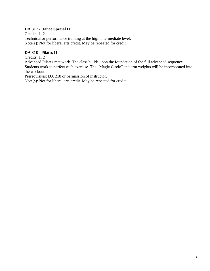# **DA 317 - Dance Special II**

Credits: 1, 2 Technical or performance training at the high intermediate level. Note(s): Not for liberal arts credit. May be repeated for credit.

# **DA 318 - Pilates II**

Credits: 1, 2

Advanced Pilates mat work. The class builds upon the foundation of the full advanced sequence. Students work to perfect each exercise. The "Magic Circle" and arm weights will be incorporated into the workout.

Prerequisites: DA 218 or permission of instructor.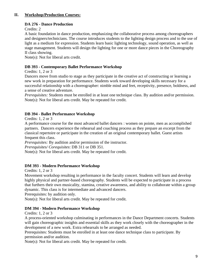# **II. Workshop/Production Courses:**

# **DA 276 - Dance Production**

Credits: 2

A basic foundation in dance production, emphasizing the collaborative process among choreographers and designers/technicians. The course introduces students to the lighting design process and to the use of light as a medium for expression. Students learn basic lighting technology, sound operation, as well as stage management. Students will design the lighting for one or more dance pieces in the Choreography II class showing.

Note(s): Not for liberal arts credit.

# **DB 393 - Contemporary Ballet Performance Workshop**

Credits: 1, 2 or 3

Dancers move from studio to stage as they participate in the creative act of constructing or learning a new work in preparation for performance. Students work toward developing skills necessary for a successful relationship with a choreographer: nimble mind and feet, receptivity, presence, boldness, and a sense of creative adventure.

*Prerequisites:* Students must be enrolled in at least one technique class. By audition and/or permission. Note(s): Not for liberal arts credit. May be repeated for credit.

# **DB 394 - Ballet Performance Workshop**

Credits: 1, 2 or 3

A performance course for the most advanced ballet dancers : women on pointe, men as accomplished partners. Dancers experience the rehearsal and coaching process as they prepare an excerpt from the classical repertoire or participate in the creation of an original contemporary ballet. Guest artists frequent this class.

*Prerequisites:* By audition and/or permission of the instructor.

*Prerequisites/ Corequisites*: DB 311 or DB 351.

Note(s): Not for liberal arts credit. May be repeated for credit.

# **DM 393 - Modern Performance Workshop**

Credits: 1, 2 or 3

Movement workshop resulting in performance in the faculty concert. Students will learn and develop highly physical and partner-based choreography. Students will be expected to participate in a process that furthers their own musicality, stamina, creative awareness, and ability to collaborate within a group dynamic. This class is for intermediate and advanced dancers.

Prerequisites: by audition only.

Note(s): Not for liberal arts credit. May be repeated for credit.

# **DM 394 - Modern Performance Workshop**

Credits: 1, 2 or 3

A process-oriented workshop culminating in performances in the Dance Department concerts. Students will gain choreographic insights and essential skills as they work closely with the choreographer in the development of a new work. Extra rehearsals to be arranged as needed.

Prerequisites: Students must be enrolled in at least one dance technique class to participate. By permission and/or audition.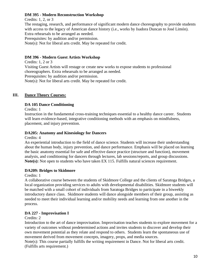# **DM 395 - Modern Reconstruction Workshop**

Credits: 1, 2, or 3

The restaging, research, and performance of significant modern dance choreography to provide students with access to the legacy of American dance history (i.e., works by Isadora Duncan to José Limón). Extra rehearsals to be arranged as needed.

Prerequisites: by audition and/or permission.

Note(s): Not for liberal arts credit. May be repeated for credit.

# **DM 396 - Modern Guest Artists Workshop**

Credits: 1, 2 or 3 Visiting Guest Artists will restage or create new works to expose students to professional choreographers. Extra rehearsals to be arranged as needed. Prerequisites: by audition and/or permission. Note(s): Not for liberal arts credit. May be repeated for credit.

# **III. Dance Theory Courses:**

# **DA 105 Dance Conditioning**

Credits: 1

Instruction in the fundamental cross-training techniques essential to a healthy dance career. Students will learn evidence-based, integrative conditioning methods with an emphasis on mindfulness, placement, and injury prevention.

# **DA205: Anatomy and Kinesiology for Dancers**

Credits: 4

An experiential introduction to the field of dance science. Students will increase their understanding about the human body, injury prevention, and dance performance. Emphasis will be placed on learning the basic anatomy essential for safe and effective dance practice (structure and function), movement analysis, and conditioning for dancers through lectures, lab sessions/reports, and group discussions. **Note(s):** Not open to students who have taken EX 115. Fulfills natural sciences requirement.

# **DA209: Bridges to Skidmore**

Credits: 1

A collaborative course between the students of Skidmore College and the clients of Saratoga Bridges, a local organization providing services to adults with developmental disabilities. Skidmore students will be matched with a small cohort of individuals from Saratoga Bridges to participate in a biweekly introductory dance class. Skidmore students will dance alongside members of their group, assisting as needed to meet their individual learning and/or mobility needs and learning from one another in the process.

# **DA 227 - Improvisation I**

Credits: 2

Introduction to the art of dance improvisation. Improvisation teaches students to explore movement for a variety of outcomes without predetermined actions and invites students to discover and develop their own movement potential as they relate and respond to others. Students learn the spontaneous use of movement derived from movement concepts, imagery, props, and media sources.

Note(s): This course partially fulfills the writing requirement in Dance. Not for liberal arts credit. (Fulfills arts requirement.)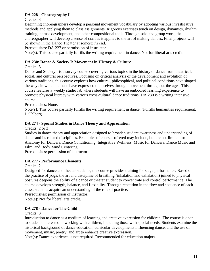# **DA 228 - Choreography I**

Credits: 3

Beginning choreographers develop a personal movement vocabulary by adopting various investigative methods and applying them to class assignments. Rigorous exercises touch on design, dynamics, rhythm training, phrase development, and other compositional tools. Through solo and group work, the choreographer will develop a sense of craft as it applies to the art of making dances. Final projects will be shown in the Dance Theater at semester's end.

Prerequisites: DA 227 or permission of instructor.

Note(s): This course partially fulfills the writing requirement in dance. Not for liberal arts credit.

# **DA 230: Dance & Society I: Movement in History & Culture**

Credits: 3

Dance and Society I is a survey course covering various topics in the history of dance from theatrical, social, and cultural perspectives. Focusing on critical analysis of the development and evolution of various traditions, this course explores how cultural, philosophical, and political conditions have shaped the ways in which humans have expressed themselves through movement throughout the ages. This course features a weekly studio lab where students will have an embodied learning experience to promote physical literacy with various cross-cultural dance traditions. DA 230 is a writing intensive course.

Prerequisites: None.

Note(s): This course partially fulfills the writing requirement in dance. (Fulfills humanities requirement.) J. Ohlberg

# **DA 274 - Special Studies in Dance Theory and Appreciation**

Credits: 2 or 3

Studies in dance theory and appreciation designed to broaden student awareness and understanding of dance and its related disciplines. Examples of courses offered may include, but are not limited to: Anatomy for Dancers, Dance Conditioning, Integrative Wellness, Music for Dancers, Dance Music and Film, and Body Mind Centering.

Prerequisites: permission of instructor.

# **DA 277 - Performance Elements**

# Credits: 2

Designed for dance and theater students, the course provides training for stage performance. Based on the practice of yoga, the art and discipline of breathing (inhalation and exhalation) joined to physical postures deepens the ability of a dance or theater student to concentrate and control performance. The course develops strength, balance, and flexibility. Through repetition in the flow and sequence of each class, students acquire an understanding of the role of practice.

Prerequisites: permission of instructor.

Note(s): Not for liberal arts credit.

# **DA 278 - Dance for The Child**

Credits: 3

Introduction to dance as a medium of learning and creative expression for children. The course is open to students interested in working with children, including those with special needs. Students examine the historical background of dance education, curricular developments influencing dance, and the use of movement, music, poetry, and art to enhance creative expression.

Note(s): Dance experience is not required. Recommended for education majors.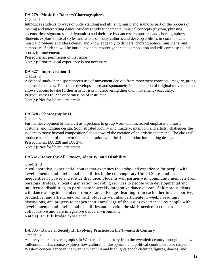# **DA 279 - Music for Dancers/Choreographers**

# Credits: 1

Introduces students to ways of understanding and utilizing music and sound as part of the process of making and interpreting dance. Students study fundamental musical concepts (rhythm, phrasing, accents, time signatures, and dynamics) and their use by dancers, composers, and choreographers. Students explore musical styles and artists of many cultures and develop abilities to communicate musical problems and ideas clearly and knowledgeably to dancers, choreographers, musicians, and composers. Students will be introduced to computer-generated composition and will compose sound scores for movement.

Prerequisites: permission of instructor.

Note(s): Prior musical experience is not necessary.

# **DA 327 - Improvisation II**

Credits: 2

Advanced study in the spontaneous use of movement derived from movement concepts, imagery, props, and media sources. The course develops speed and spontaneity in the creation of original movement and allows dancers to take further artistic risks in discovering their own movement vocabulary. Prerequisites: DA 227 or permission of instructor.

Note(s): Not for liberal arts credit.

# **DA 328 - Choreography II**

Credits: 3

Further development of the craft as it pertains to group work with increased emphasis on music, costume, and lighting design. Sophisticated inquiry into imagery, intention, and artistry challenges the student to move beyond compositional tools toward the creation of an artistic statement. The class will produce a concert of their work in collaboration with the dance production lighting designers. Prerequisites: DA 228 and DA 276.

Note(s): Not for liberal arts credit.

# **DA332 - Dance for All: Power, Identity, and Disability**

# Credits: 3

A collaborative, experiential course that examines the embodied experience for people with developmental and intellectual disabilities in the contemporary United States and the inequalities of power and justice they face. Students will partner with community members from Saratoga Bridges, a local organization providing services to people with developmental and intellectual disabilities, to participate in weekly integrative dance classes. Skidmore students will dance alongside members from Saratoga Bridges learning from each other in a supportive, productive, and artistic environment. Students will also participate in weekly readings, discussions, and projects to deepen their knowledge of the issues experienced by people with developmental and intellectual disabilities and develop the skills needed to create a collaborative and safe integrative dance environment.

**Note(s):** Fulfills bridge experience.

# **DA 335 - Dance & Society II: Evolving Practices in the Twentieth Century**

Credits: 3

A survey course covering topics in Western dance history from the twentieth century through the new millennium. This course explores how cultural, philosophical, and political conditions have shaped Western concert dance in the twentieth century and highlights epoch-defining figures, dances, and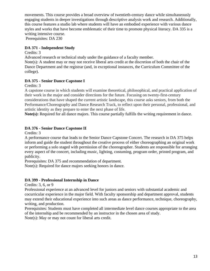movements. This course provides a broad overview of twentieth-century dance while simultaneously engaging students in deeper investigations through descriptive analysis work and research. Additionally, this course features a studio lab where students will have an embodied experience with various dance styles and works that have become emblematic of their time to promote physical literacy. DA 335 is a writing intensive course.

Prerequisites: DA 230

# **DA 371 - Independent Study**

Credits: 3

Advanced research or technical study under the guidance of a faculty member.

Note(s): A student may or may not receive liberal arts credit at the discretion of both the chair of the Dance Department and the registrar (and, in exceptional instances, the Curriculum Committee of the college).

# **DA 375 - Senior Dance Capstone I**

Credits: 3

A capstone course in which students will examine theoretical, philosophical, and practical application of their work in the major and consider directions for the future. Focusing on twenty-first-century considerations that have shaped the current artistic landscape, this course asks seniors, from both the Performance/Choreography and Dance Research Track, to reflect upon their personal, professional, and artistic identity as they prepare to enter the next phase of life.

**Note(s):** Required for all dance majors. This course partially fulfills the writing requirement in dance.

# **DA 376 - Senior Dance Capstone II**

Credits: 3

A performance course that leads to the Senior Dance Capstone Concert. The research in DA 375 helps inform and guide the student throughout the creative process of either choreographing an original work or performing a solo staged with permission of the choreographer. Students are responsible for arranging every aspect of the concert, including music, lighting, costuming, program order, printed program, and publicity.

Prerequisites: DA 375 and recommendation of department.

Note(s): Required for dance majors seeking honors in dance.

# **DA 399 - Professional Internship in Dance**

Credits: 3, 6, or 9

Professional experience at an advanced level for juniors and seniors with substantial academic and cocurricular experience in the major field. With faculty sponsorship and department approval, students may extend their educational experience into such areas as dance performance, technique, choreography, writing, and production.

Prerequisites: Students must have completed all intermediate level dance courses appropriate to the area of the internship and be recommended by an instructor in the chosen area of study. Note(s): May or may not count for liberal arts credit.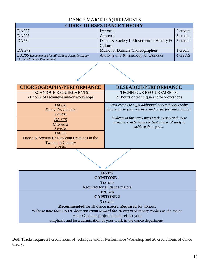# DANCE MAJOR REQUIREMENTS

# **CORE COURSES DANCE THEORY**

| DA227                                                                                       | Improv 1                                    | 2 credits |  |  |
|---------------------------------------------------------------------------------------------|---------------------------------------------|-----------|--|--|
| <b>DA228</b>                                                                                | Choreo 1                                    | 3 credits |  |  |
| DA230                                                                                       | Dance & Society I: Movement in History $\&$ | 3 credits |  |  |
|                                                                                             | Culture                                     |           |  |  |
| DA 279                                                                                      | Music for Dancers/Choreographers            | credit    |  |  |
| DA205 Recommended for All-College Scientific Inquiry<br><b>Through Practice Requirement</b> | <b>Anatomy and Kinesiology for Dancers</b>  | 4 credits |  |  |



Both Tracks require 21 credit hours of technique and/or Performance Workshop and 20 credit hours of dance theory.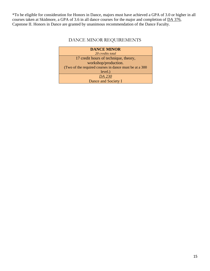\*To be eligible for consideration for Honors in Dance, majors must have achieved a GPA of 3.0 or higher in all courses taken at Skidmore, a GPA of 3.6 in all dance courses for the major and completion of DA [376,](http://catalog.skidmore.edu/preview_entity.php?catoid=15&ent_oid=854&returnto=1024#tt5209) Capstone II. Honors in Dance are granted by unanimous recommendation of the Dance Faculty.

# DANCE MINOR REQUIREMENTS

| <b>DANCE MINOR</b>                                      |  |  |  |
|---------------------------------------------------------|--|--|--|
| 20 credits total                                        |  |  |  |
| 17 credit hours of technique, theory,                   |  |  |  |
| workshop/production.                                    |  |  |  |
| (Two of the required courses in dance must be at a 300) |  |  |  |
| level.)                                                 |  |  |  |
| DA 230                                                  |  |  |  |
| Dance and Society I                                     |  |  |  |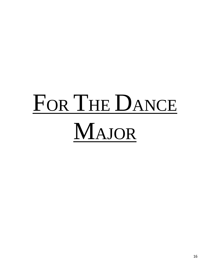# FOR THE DANCE MAJOR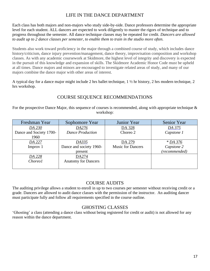# LIFE IN THE DANCE DEPARTMENT

Each class has both majors and non-majors who study side-by-side. Dance professors determine the appropriate level for each student. ALL dancers are expected to work diligently to master the rigors of technique and to progress throughout the semester. All dance technique classes may be repeated for credit. *Dancers are allowed to audit up to 2 dance classes per semester, to enable them to train in the studio more often.* 

Students also work toward proficiency in the major through a combined course of study, which includes dance history/criticism, dance injury prevention/management, dance theory, improvisation composition and workshop classes. As with any academic coursework at Skidmore, the highest level of integrity and discovery is expected in the pursuit of this knowledge and expansion of skills. The Skidmore Academic Honor Code must be upheld at all times. Dance majors and minors are encouraged to investigate related areas of study, and many of our majors combine the dance major with other areas of interest.

A typical day for a dance major might include 2 hrs ballet technique, 1 ½ hr history, 2 hrs modern technique, 2 hrs workshop.

# COURSE SEQUENCE RECOMMENDATIONS

For the prospective Dance Major, this sequence of courses is recommended, along with appropriate technique & workshop:

| Freshman Year           | Sophomore Year             | Junior Year              | <b>Senior Year</b> |
|-------------------------|----------------------------|--------------------------|--------------------|
| DA 230                  | DA276                      | DA 328                   | DA 375             |
| Dance and Society 1700- | <b>Dance Production</b>    | Choreo 2                 | Capstone 1         |
| 1960                    |                            |                          |                    |
| DA 227                  | DA335                      | DA 279                   | * DA 376           |
| Improv 1                | Dance and society 1960-    | <b>Music for Dancers</b> | Capstone 2         |
|                         | present                    |                          | (recommended)      |
| DA 228                  | DA274                      |                          |                    |
| <i>Choreo1</i>          | <b>Anatomy for Dancers</b> |                          |                    |
|                         |                            |                          |                    |

# COURSE AUDITS

The auditing privilege allows a student to enroll in up to two courses per semester without receiving credit or a grade. Dancers are allowed to audit dance classes with the permission of the instructor. An auditing dancer must participate fully and follow all requirements specified in the course outline.

# GHOSTING CLASSES

'Ghosting' a class (attending a dance class without being registered for credit or audit) is not allowed for any reason within the dance department.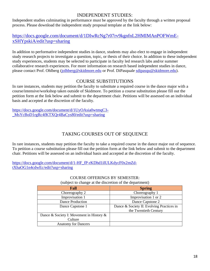# INDEPENDENT STUDIES:

Independent studies culminating in performance must be approved by the faculty through a written proposal process. Please download the independent study proposal template at the link below:

# [https://docs.google.com/document/d/1DIwRcNg7r07rv9kgnfnL2HMIMAnPOFWmE](https://docs.google.com/document/d/1DIwRcNg7r07rv9kgnfnL2HMIMAnPOFWmE-xSHYpskiA/edit?usp=sharing)[xSHYpskiA/edit?usp=sharing](https://docs.google.com/document/d/1DIwRcNg7r07rv9kgnfnL2HMIMAnPOFWmE-xSHYpskiA/edit?usp=sharing)

In addition to performative independent studies in dance, students may also elect to engage in independent study research projects to investigate a question, topic, or thesis of their choice. In addition to these independent study experiences, students may be selected to participate in faculty led research labs and/or summer collaborative research experiences. For more information on research based independent studies in dance, please contact Prof. Ohlberg [\(jolhberg@skidmore.edu](mailto:jolhberg@skidmore.edu) or Prof. DiPasquale [sdipasqu@skidmore.edu\)](mailto:sdipasqu@skidmore.edu).

# COURSE SUBSTITUTIONS

In rare instances, students may petition the faculty to substitute a required course in the dance major with a course/intensive/workshop taken outside of Skidmore. To petition a course substitution please fill out the petition form at the link below and submit to the department chair. Petitions will be assessed on an individual basis and accepted at the discretion of the faculty.

[https://docs.google.com/document/d/1UyOAsia0wtmqC3-](https://docs.google.com/document/d/1UyOAsia0wtmqC3-_MsYcBoD1rgRc4fKTXQr4BaCys80/edit?usp=sharing) [\\_MsYcBoD1rgRc4fKTXQr4BaCys80/edit?usp=sharing](https://docs.google.com/document/d/1UyOAsia0wtmqC3-_MsYcBoD1rgRc4fKTXQr4BaCys80/edit?usp=sharing)

# TAKING COURSES OUT OF SEQUENCE

In rare instances, students may petition the faculty to take a required course in the dance major out of sequence. To petition a course substitution please fill out the petition form at the link below and submit to the department chair. Petitions will be assessed on an individual basis and accepted at the discretion of the faculty.

[https://docs.google.com/document/d/1-HF\\_fP-rKDhd1ilULKdycF0x2mZd](https://docs.google.com/document/d/1-HF_fP-rKDhd1ilULKdycF0x2mZd-tXhaOG1n4cdwEc/edit?usp=sharing)[tXhaOG1n4cdwEc/edit?usp=sharing](https://docs.google.com/document/d/1-HF_fP-rKDhd1ilULKdycF0x2mZd-tXhaOG1n4cdwEc/edit?usp=sharing)

#### COURSE OFFERINGS BY SEMESTER: (subject to change at the discretion of the department)

| Fall                                     | <b>Spring</b>                             |  |
|------------------------------------------|-------------------------------------------|--|
| Choreography 2                           | Choreography 1                            |  |
| Improvisation 1                          | Improvisation 1 or 2                      |  |
| Dance Production                         | Dance Capstone 2                          |  |
| Dance Capstone 1                         | Dance & Society II: Evolving Practices in |  |
|                                          | the Twentieth Century                     |  |
| Dance & Society I: Movement in History & |                                           |  |
| Culture                                  |                                           |  |
| <b>Anatomy for Dancers</b>               |                                           |  |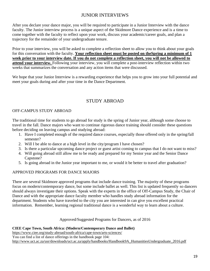# JUNIOR INTERVIEWS

After you declare your dance major, you will be required to participate in a Junior Interview with the dance faculty. The Junior interview process is a unique aspect of the Skidmore Dance experience and is a time to come together with the faculty to reflect upon your work, discuss your academic/career goals, and plan a trajectory for the remainder of your undergraduate tenure.

Prior to your interview, you will be asked to complete a reflection sheet to allow you to think about your goals for this conversation with the faculty. **Your reflection sheet must be posted on theSpring a minimum of 1 week prior to your interview date. If you do not complete a reflection sheet, you will not be allowed to attend your interview.** Following your interview, you will complete a post-interview reflection within two weeks that summarizes the conversation and any action items that were discussed.

We hope that your Junior Interview is a rewarding experience that helps you to grow into your full potential and meet your goals during and after your time in the Dance Department.

# STUDY ABROAD

# OFF-CAMPUS STUDY ABROAD

The traditional time for students to go abroad for study is the spring of Junior year, although some choose to travel in the fall. Dance majors who want to continue rigorous dance training should consider these questions before deciding on leaving campus and studying abroad:

- 1. Have I completed enough of the required dance courses, especially those offered only in the spring/fall semester?
- 2. Will I be able to dance at a high level in the city/program I have chosen?
- 3. Is there a particular upcoming dance project or guest artist coming to campus that I do not want to miss?
- 4. Will going abroad still allow me to be ready and prepared for my Senior year and the Senior Dance Capstone?
- 5. Is going abroad in the Junior year important to me, or would it be better to travel after graduation?

# APPROVED PROGRAMS FOR DANCE MAJORS

There are several Skidmore approved programs that include dance training. The majority of these programs focus on modern/contemporary dance, but some include ballet as well. This list is updated frequently so dancers should always investigate their options. Speak with the experts in the office of Off-Campus Study, the Chair of Dance and with the appropriate dance faculty member who handles study abroad information for the department. Students who have traveled to the city you are interested in can give you excellent practical information. Remember, learning regional traditional dance is a wonderful way to learn about a culture.

# Approved/Suggested Programs for Dancers, as of 2016

# **CIEE Cape Town, South Africa: (Modern/Contemporary Dance and Ballet)**

<https://www.ciee.org/study-abroad/south-africa/cape-town/arts-sciences/> You can find a list of dance offerings in the handbook page 104: [http://www.uct.ac.za/usr/downloads/uct.ac.za/apply/handbooks/Handbook9A\\_HumanitiesUndergraduate\\_2016.pdf](http://www.uct.ac.za/usr/downloads/uct.ac.za/apply/handbooks/Handbook9A_HumanitiesUndergraduate_2016.pdf)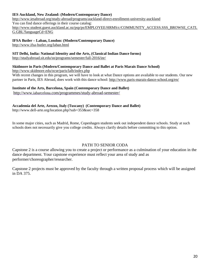#### **IES Auckland, New Zealand: (Modern/Contemporary Dance)**

<http://www.iesabroad.org/study-abroad/programs/auckland-direct-enrollment-university-auckland> You can find dance offerings in their course catalog: [http://www.student.guest.auckland.ac.nz/psp/ps/EMPLOYEE/HRMS/c/COMMUNITY\\_ACCESS.SSS\\_BROWSE\\_CATL](http://www.student.guest.auckland.ac.nz/psp/ps/EMPLOYEE/HRMS/c/COMMUNITY_ACCESS.SSS_BROWSE_CATLG.GBL?languageCd=ENG) [G.GBL?languageCd=ENG](http://www.student.guest.auckland.ac.nz/psp/ps/EMPLOYEE/HRMS/c/COMMUNITY_ACCESS.SSS_BROWSE_CATLG.GBL?languageCd=ENG)

# **IFSA Butler – Laban, London: (Modern/Contemporary Dance)**

<http://www.ifsa-butler.org/laban.html>

**SIT Delhi, India: National Identity and the Arts, (Classical Indian Dance forms)**

<http://studyabroad.sit.edu/sn/programs/semester/fall-2016/inr/>

# **Skidmore in Paris (Modern/Contemporary Dance and Ballet at Paris Marais Dance School)**

<http://www.skidmore.edu/ocse/paris/lalb/index.php>

With recent changes in this program, we will have to look at what Dance options are available to our students. Our new partner in Paris, IES Abroad, does work with this dance school:<http://www.paris-marais-dance-school.org/en/>

# **Institute of the Arts, Barcelona, Spain (Contemporary Dance and Ballet)**

http://www.iabarcelona[.com/programmes/study-abroad-semester/](http://www.iabarcelona.com/programmes/study-abroad-semester/)

#### **Accademia del Arte, Arezzo, Italy (Tuscany) (Contemporary Dance and Ballet)**

http://www.dell-arte.org/location.php?sub=353&sec=358

In some major cities, such as Madrid, Rome, Copenhagen students seek out independent dance schools. Study at such schools does not necessarily give you college credits. Always clarify details before committing to this option.

# PATH TO SENIOR CODA

Capstone 2 is a course allowing you to create a project or performance as a culmination of your education in the dance department. Your capstone experience must reflect your area of study and as performer/choreographer/researcher.

Capstone 2 projects must be approved by the faculty through a written proposal process which will be assigned in DA 375.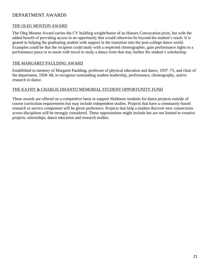# DEPARTMENT AWARDS

# THE OLEG MOSTON AWARD

The Oleg Moston Award carries the CV building weight/honor of an Honors Convocation prize, but with the added benefit of providing access to an opportunity that would otherwise be beyond the student's reach. It is geared to helping the graduating student with support in the transition into the post-college dance world. Examples could be that the recipient could study with a respected choreographer, gain performance rights to a performance piece or to assist with travel to study a dance form that may further the student's scholarship.

# [THE MARGARET PAULDING AWARD](http://skidmoredance.org/the-margaret-paulding-award/)

Established in memory of Margaret Paulding, professor of physical education and dance, 1937–73, and chair of the department, 1958–68, to recognize outstanding student leadership, performance, choreography, and/or research in dance.

# THE KATHY & CHARLIE DISANTO MEMORIAL STUDENT OPPORTUNITY FUND

These awards are offered on a competitive basis to support Skidmore students for dance projects outside of course curriculum requirements but may include independent studies. Projects that have a community-based research or service component will be given preference. Projects that help a student discover new connections across disciplines will be strongly considered. These opportunities might include but are not limited to creative projects, internships, dance education and research studies.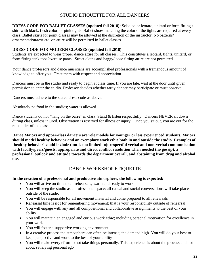# STUDIO ETIQUETTE FOR ALL DANCERS

**DRESS CODE FOR BALLET CLASSES (updated fall 2018):** Solid color leotard, unitard or form fitting tshirt with black, flesh color, or pink tights. Ballet shoes matching the color of the tights are required at every class. Ballet skirts for point classes may be allowed at the discretion of the instructor. No patterns/ ornamentation/text etc. on attire will be permitted in ballet classes.

# **DRESS CODE FOR MODERN CLASSES (updated fall 2018):**

Students are expected to wear proper dance attire for all classes. This constitutes a leotard, tights, unitard, or form fitting tank tops/exercise pants. Street cloths and baggy/loose fitting attire are not permitted

Your dance professors and dance musicians are accomplished professionals with a tremendous amount of knowledge to offer you. Treat them with respect and appreciation.

Dancers must be in the studio and ready to begin at class time. If you are late, wait at the door until given permission to enter the studio. Professor decides whether tardy dancer may participate or must observe.

Dancers must adhere to the stated dress code as above.

Absolutely no food in the studios; water is allowed

Dance students do not "hang on the barre" in class. Stand & listen respectfully. Dancers NEVER sit down during class, unless injured. Observation is reserved for illness or injury. Once you sit out, you are out for the remainder of the class.

**Dance Majors and upper-class dancers are role models for younger or less experienced students. Majors should model healthy behavior and an exemplary work ethic both in and outside the studio. Examples of 'healthy behavior' could include (but is not limited to): respectful verbal and non-verbal communication with faculty/peers/guests, appropriate and direct conflict resolution when needed (no gossip), a professional outlook and attitude towards the department overall, and abstaining from drug and alcohol use.**

# DANCE WORKSHOP ETIQUETTE

# **In the creation of a professional and productive atmosphere, the following is expected:**

- You will arrive on time to all rehearsals; warm and ready to work
- You will keep the studio as a professional space; all casual and social conversations will take place outside of the studio
- You will be responsible for all movement material and come prepared to all rehearsals
- Rehearsal time is **not** for remembering movement; that is your responsibility outside of rehearsal
- You will engage with any and all compositional and collaborative assignments to the best of your ability
- You will maintain an engaged and curious work ethic; including personal motivation for excellence in your work
- You will foster a supportive working environment
- In a creative process the atmosphere can often be intense; the demand high. You will do your best to keep perspective and work to the best of your ability
- You will make every effort to not take things personally. This experience is about the process and not about satisfying personal ego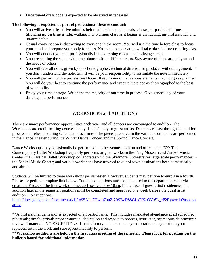• Department dress code is expected to be observed in rehearsal

# **The following is expected as part of professional theatre conduct:**

- You will arrive at least five minutes before all technical rehearsals, classes, or posted call times. **Showing up on time is late**; walking into warmup class as it begins is distracting, un-professional, and un-acceptable
- Casual conversation is distracting to everyone in the room. You will use the time before class to focus your mind and prepare your body for class. No social conversation will take place before or during class
- You will conduct yourself professionally in the dressing rooms and backstage areas
- You are sharing the space with other dancers from different casts. Stay aware of those around you and the needs of others
- You will take all notes given by the choreographer, technical director, or producer without argument. If you don't understand the note, ask. It will be your responsibility to assimilate the note immediately
- You will perform with a professional focus. Keep in mind that various elements may not go as planned. You will do your best to continue the performance and execute the piece as choreographed to the best of your ability
- Enjoy your time on tage. We spend the majority of our time in process. Give generously of your dancing and performance.

# WORKSHOPS and AUDITIONS

There are many performance opportunities each year, and all dancers are encouraged to audition. The Workshops are credit-bearing courses led by dance faculty or guest artists. Dancers are cast through an audition process and rehearse during scheduled class times. The pieces prepared in the various workshops are performed in the Dance Theater during the Winter Dance Concert and the Spring Dance Concert.

Dance Workshops may occasionally be performed in other venues both on and off campus. EX: The Contemporary Ballet Workshop frequently performs original works in the Tang Museum and Zankel Music Center; the Classical Ballet Workshop collaborates with the Skidmore Orchestra for large scale performances in the Zankel Music Center; and various workshops have traveled to out of town destinations both domestically and abroad.

Students will be limited to three workshops per semester. However, students may petition to enroll in a fourth. Please see petition template link below. Completed petitions must be submitted to the department chair via email the Friday of the first week of class each semester by 10am. In the case of guest artist residencies that audition later in the semester, petitions must be completed and approved one week **before** the guest artist audition. No exceptions.

[https://docs.google.com/document/d/1jLo95Aim9Uwm7bnZr20SBzD88GLxDKcOVl6L\\_eF2Ryw/edit?usp=sh](https://docs.google.com/document/d/1jLo95Aim9Uwm7bnZr20SBzD88GLxDKcOVl6L_eF2Ryw/edit?usp=sharing) [aring](https://docs.google.com/document/d/1jLo95Aim9Uwm7bnZr20SBzD88GLxDKcOVl6L_eF2Ryw/edit?usp=sharing)

\*\*A professional demeanor is expected of all participants. This includes mandated attendance at all scheduled rehearsals; timely arrival; proper warmup; dedication and respect to process, instructor, peers; outside practice / review of material. NO EXCEPTIONS. Unsatisfactory adherence to any expectations may result in your replacement in the work and subsequent inability to perform.

**\*\*Workshop auditions are held on the first class meeting of the semester. Please look for postings on the bulletin board for additional information.**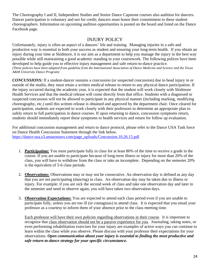The Choreography I and II, Independent Studies and Senior Dance Capstone courses also audition for dancers. Dancer participation is voluntary and not for credit; dancers must honor their commitment to these student choreographers. Information on upcoming audition opportunities is posted on the board and listed on the Dance Facebook page.

# INJURY POLICY

Unfortunately, injury is often an aspect of a dancers' life and training. Managing injuries in a safe and productive way is essential to both your success as student and ensuring your long-term health. If you obtain an injury during your time at Skidmore, it is our aim as a department to help you manage the injury in the best way possible while still maintaining a good academic standing in your coursework. The following polices have been developed to help guide you to effective injury management and safe return-to-dance practice. *(These policies have been adapted from guideline from the International Association of Dance Medicine and Science and the Texas A&M University Dance Program)*

*CONCUSSIONS:* If a student-dancer sustains a concussion (or suspected concussion) due to head injury in or outside of the studio, they must retain a written medical release to return to any physical dance participation. If the injury occurred during the academic year, it is expected that the student will work closely with Skidmore Health Services and that the medical release will come directly from that office. Students with a diagnosed or suspected concussion will not be allowed to participate in any physical manner (including marking, modifying choreography, etc.) until this written release is obtained and approved by the department chair. Once cleared for participation, students are expected to work closely with their professors to determine an appropriate plan to safely return to full participation in dance courses. If upon returning to dance, concussion symptoms return, students should immediately report these symptoms to health services and return for follow up evaluation.

For additional concussion management and return to dance protocol, please refer to the Dance USA Task force on Dance Health Concussion Statement through the link below. [https://dance-usa.s3.amazonaws.com/page\\_uploads/Concussion.10.26.15.pdf](https://dance-usa.s3.amazonaws.com/page_uploads/Concussion.10.26.15.pdf)

- 1. **Participation:** You must participate fully in class for at least 80% of the time to receive a grade in the course. If you are unable to participate because of long-term illness or injury for more than 20% of the class, you will have to withdraw from the class or take an incomplete. Depending on the semester 20% is the equivalent of 5-6 class periods.
- 2. **Observations:** Observations may or may not be consecutive. An observation day is defined as any day that you are not participating (dancing) in class. An observation day may be taken due to illness or injury. For example: if you are sick the second week of class and take one observation day and later in the semester and need to observe again, you will have taken two observation days.
- 3. **Observation Expectations:** You are expected to attend each class period even if you are unable to participate fully, unless you are too ill (or contagious) to attend class. It is expected that you email your professor as a courtesy to inform them of your absence prior to the class meeting time.

Each professor will have their own policies regarding observations in their course. It is important to recognize that class observation should not be a passive experience for you. Journaling, taking notes, or even performing rehabilitation exercises for your injury are examples of active ways you can continue to learn within the class while you observe. Please discuss with your professor their expectations for your observations. *Open communication about your injury is essential to finding the most productive and safe return-to-dance strategy for your specific circumstance.*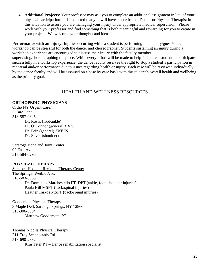4. **Additional Projects:** Your professor may ask you to complete an additional assignment in lieu of your physical participation. It is expected that you will have a note from a Doctor or Physical Therapist in this situation to assure you are managing your injury under appropriate medical supervision. Please work with your professor and find something that is both meaningful and rewarding for you to create in your project. We welcome your thoughts and ideas!

**Performance with an injury:** Injuries occurring while a student is performing in a faculty/guest/student workshop can be stressful for both the dancer and choreographer. Students sustaining an injury during a workshop experience are encouraged to discuss their injury with the faculty member supervising/choreographing the piece. While every effort will be made to help facilitate a student to participate successfully in a workshop experience, the dance faculty reserves the right to stop a student's participation in rehearsal and/or performance due to issues regarding health or injury. Each case will be reviewed individually by the dance faculty and will be assessed on a case by case basis with the student's overall health and wellbeing as the primary goal.

# HEALTH AND WELLNESS RESOURCES

# **ORTHOPEDIC PHYSICIANS**

Ortho NY Urgent Care: 5 Care Lane 518-587-0845 Dr. Rosas (foot/ankle) Dr. O'Connor (general) *HIPS* Dr. Fein (general) *KNEES* Dr. Silver (shoulder)

Saratoga Bone and Joint Center 92 East Ave 518-584-0295

# **PHYSICAL THERAPY**

Saratoga Hospital Regional Therapy Center The Springs, Weible Ave. 518-583-8383 Dr. Dominick Marchesiello PT, DPT (ankle, foot, shoulder injuries) Paula Hill MSPT (back/spinal injuries) Heather Tarkos MSPT (back/spinal injuries)

Goodemote Physical Therapy 3 Maple Dell, Saratoga Springs, NY 12866 518-306-6894 Matthew Goodemote, PT

Thomas Nicolla Physical Therapy 711 Troy Schenectady Rd 518-690-2882 Kim Teter PT – Dance rehabilitation specialist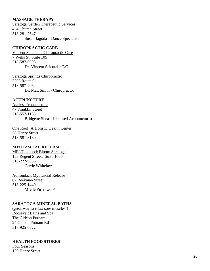#### **MASSAGE THERAPY**

Saratoga Garden Therapeutic Services 434 Church Street 518 -281 -7547 Susan Jagoda – Dance Specialist

# **CHIROPRACTIC CARE**

Vincent Scicutella Chiropractic Care 7 Wells St. Suite 105 518 -587 -0993 Dr. Vincent Scicutella DC

Saratoga Springs Chiropractic 3303 Route 9 518 -587 -2064 Dr. Matt Smith - Chiropractor

#### **ACUPUNCTURE**

Ageless Acupuncture 47 Franklin Street 518 -557 -1183 Bridgette Shea – Licensed Acupuncturist

One Roof: A Holistic Health Center 58 Henry Street 518 -581 -3180

# **MYOFASCIAL RELEASE**

MELT method; Bloom Saratoga 153 Regent Street, Suite 1000 518 -222 -9036 Carrie Whitelaw

Adirondack Myofascial Release 62 Beekman Street 518 -225 -1440 M'elle Pirri -Lee PT

#### **SARATOGA MINERAL BATHS**

(great way to relax sore muscles!) Roosevelt Baths and Spa The Gideon Putnam 24 Gideon Putnam Rd 518 -925 -0622

#### **HEALTH FOOD STORES**

Four Seasons 120 Henry Street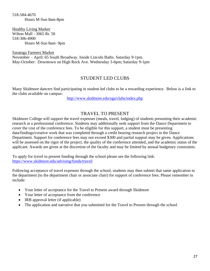518-584-4670 Hours M-Sun 8am-8pm

Healthy Living Market Wilton Mall - 3065 Rt. 50 518-306-4900 Hours M-Sun 8am- 9pm

Saratoga Farmers Market November – April: 65 South Broadway. Inside Lincoln Baths. Saturday 9-1pm. May-October: Downtown on High Rock Ave. Wednesday 3-6pm; Saturday 9-1pm

# STUDENT LED CLUBS

Many Skidmore dancers find participating in student led clubs to be a rewarding experience. Below is a link to the clubs available on campus:

<http://www.skidmore.edu/sga/clubs/index.php>

# TRAVEL TO PRESENT

Skidmore College will support the travel expenses (meals, travel, lodging) of students presenting their academic research at a professional conference. Students may additionally seek support from the Dance Department to cover the cost of the conference fees. To be eligible for this support, a student must be presenting data/findings/creative work that was completed through a credit bearing research project in the Dance Department. Support for conference fees may not exceed \$300 and partial support may be given. Applications will be assessed on the rigor of the project, the quality of the conference attended, and the academic status of the applicant. Awards are given at the discretion of the faculty and may be limited by annual budgetary constraints.

To apply for travel to present funding through the school please see the following link: <https://www.skidmore.edu/advising/funds/travel/>

Following acceptance of travel expenses through the school, students may then submit that same application to the department (to the department chair or associate chair) for support of conference fees. Please remember to include:

- Your letter of acceptance for the Travel to Present award through Skidmore
- Your letter of acceptance from the conference
- IRB approval letter (if applicable)
- The application and narrative that you submitted for the Travel to Present through the school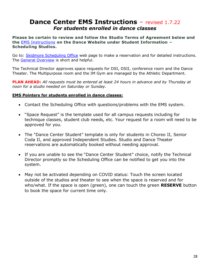# **Dance Center EMS Instructions - revised 1.7.22** *For students enrolled in dance classes*

**Please be certain to review and follow the Studio Terms of Agreement below and the** [EMS Instructions](https://www.skidmore.edu/dance/documents/EMS-Instructions-9-2-21.pdf) **on the Dance Website under Student Information – Scheduling Studios.**

Go to: [Skidmore Scheduling Office](https://www.skidmore.edu/schedule/index.php) web page to make a reservation and for detailed instructions. The [General Overview](https://www.skidmore.edu/schedule/documents/NewEMSOverview.pdf) is short and helpful.

The Technical Director approves space requests for DSI, DSII, conference room and the Dance Theater. The Multipurpose room and the IM Gym are managed by the Athletic Department.

**PLAN AHEAD:** *All requests must be entered at least 24 hours in advance and by Thursday at noon for a studio needed on Saturday or Sunday.* 

# **EMS Pointers for students enrolled in dance classes:**

- Contact the Scheduling Office with questions/problems with the EMS system.
- "Space Request" is the template used for all campus requests including for technique classes, student club needs, etc. Your request for a room will need to be approved for you.
- The "Dance Center Student" template is only for students in Choreo II, Senior Coda II, and approved Independent Studies. Studio and Dance Theater reservations are automatically booked without needing approval.
- If you are unable to see the "Dance Center Student" choice, notify the Technical Director promptly so the Scheduling Office can be notified to get you into the system.
- May not be activated depending on COVID status: Touch the screen located outside of the studios and theater to see when the space is reserved and for who/what. If the space is open (green), one can touch the green **RESERVE** button to book the space for current time only.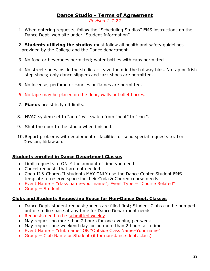# **Dance Studio - Terms of Agreement**

*Revised 1-7-22*

- 1. When entering requests, follow the "Scheduling Studios" EMS instructions on the Dance Dept. web site under "Student Information".
- 2. **Students utilizing the studios** must follow all health and safety guidelines provided by the College and the Dance department.
- 3. No food or beverages permitted; water bottles with caps permitted
- 4. No street shoes inside the studios leave them in the hallway bins. No tap or Irish step shoes; only dance slippers and jazz shoes are permitted.
- 5. No incense, perfume or candles or flames are permitted.
- 6. No tape may be placed on the floor, walls or ballet barres.
- 7. **Pianos** are strictly off limits.
- 8. HVAC system set to "auto" will switch from "heat" to "cool".
- 9. Shut the door to the studio when finished.
- 10.Report problems with equipment or facilities or send special requests to: Lori Dawson, lddawson.

# **Students enrolled in Dance Department Classes**

- Limit requests to ONLY the amount of time you need
- Cancel requests that are not needed
- Coda II & Choreo II students MAY ONLY use the Dance Center Student EMS template to reserve space for their Coda & Choreo course needs
- Event Name = "class name-your name"; Event Type = "Course Related"
- $\bullet$  Group = Student

# **Clubs and Students Requesting Space for Non-Dance Dept. Classes**

- Dance Dept. student requests/needs are filled first; Student Clubs can be bumped out of studio space at any time for Dance Department needs
- Requests need to be submitted weekly
- May request no more than 2 hours for one evening per week
- May request one weekend day for no more than 2 hours at a time
- Event Name = "club name" OR "Outside Class Name–Your name"
- Group = Club Name or Student (if for non-dance dept. class)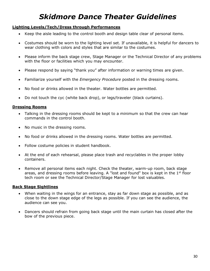# *Skidmore Dance Theater Guidelines*

# **Lighting Levels/Tech/Dress through Performances**

- Keep the aisle leading to the control booth and design table clear of personal items.
- Costumes should be worn to the lighting level set. If unavailable, it is helpful for dancers to wear clothing with colors and styles that are similar to the costumes.
- Please inform the back stage crew, Stage Manager or the Technical Director of any problems with the floor or facilities which you may encounter.
- Please respond by saying "thank you" after information or warning times are given.
- Familiarize yourself with the *Emergency Procedure* posted in the dressing rooms.
- No food or drinks allowed in the theater. Water bottles are permitted.
- Do not touch the cyc (white back drop), or legs/traveler (black curtains).

# **Dressing Rooms**

- Talking in the dressing rooms should be kept to a minimum so that the crew can hear commands in the control booth.
- No music in the dressing rooms.
- No food or drinks allowed in the dressing rooms. Water bottles are permitted.
- Follow costume policies in student handbook.
- At the end of each rehearsal, please place trash and recyclables in the proper lobby containers.
- Remove all personal items each night. Check the theater, warm-up room, back stage areas, and dressing rooms before leaving. A "lost and found" box is kept in the  $1<sup>st</sup>$  floor tech room or see the Technical Director/Stage Manager for lost valuables.

# **Back Stage Sightlines**

- When waiting in the wings for an entrance, stay as far down stage as possible, and as close to the down stage edge of the legs as possible. If you can see the audience, the audience can see you.
- Dancers should refrain from going back stage until the main curtain has closed after the bow of the previous piece.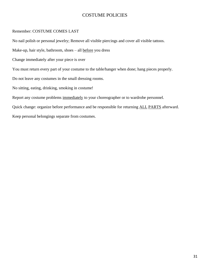# COSTUME POLICIES

#### Remember: COSTUME COMES LAST

No nail polish or personal jewelry; Remove all visible piercings and cover all visible tattoos. Make-up, hair style, bathroom, shoes – all before you dress Change immediately after your piece is over You must return every part of your costume to the table/hanger when done; hang pieces properly. Do not leave any costumes in the small dressing rooms. No sitting, eating, drinking, smoking in costume! Report any costume problems immediately to your choreographer or to wardrobe personnel. Quick change: organize before performance and be responsible for returning ALL PARTS afterward. Keep personal belongings separate from costumes.